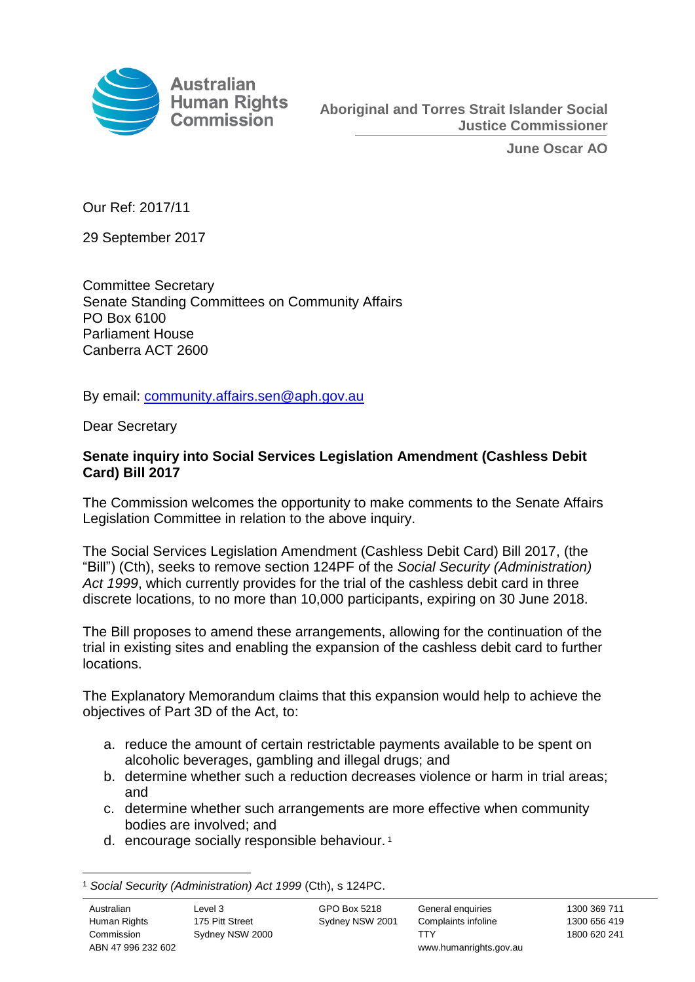

**June Oscar AO**

Our Ref: 2017/11

29 September 2017

Committee Secretary Senate Standing Committees on Community Affairs PO Box 6100 Parliament House Canberra ACT 2600

By email: [community.affairs.sen@aph.gov.au](mailto:community.affairs.sen@aph.gov.au)

Dear Secretary

# **Senate inquiry into Social Services Legislation Amendment (Cashless Debit Card) Bill 2017**

The Commission welcomes the opportunity to make comments to the Senate Affairs Legislation Committee in relation to the above inquiry.

The Social Services Legislation Amendment (Cashless Debit Card) Bill 2017, (the "Bill") (Cth), seeks to remove section 124PF of the *Social Security (Administration) Act 1999*, which currently provides for the trial of the cashless debit card in three discrete locations, to no more than 10,000 participants, expiring on 30 June 2018.

The Bill proposes to amend these arrangements, allowing for the continuation of the trial in existing sites and enabling the expansion of the cashless debit card to further locations.

The Explanatory Memorandum claims that this expansion would help to achieve the objectives of Part 3D of the Act, to:

- a. reduce the amount of certain restrictable payments available to be spent on alcoholic beverages, gambling and illegal drugs; and
- b. determine whether such a reduction decreases violence or harm in trial areas; and
- c. determine whether such arrangements are more effective when community bodies are involved; and
- d. encourage socially responsible behaviour. <sup>1</sup>

 $\overline{a}$ <sup>1</sup> *Social Security (Administration) Act 1999* (Cth), s 124PC.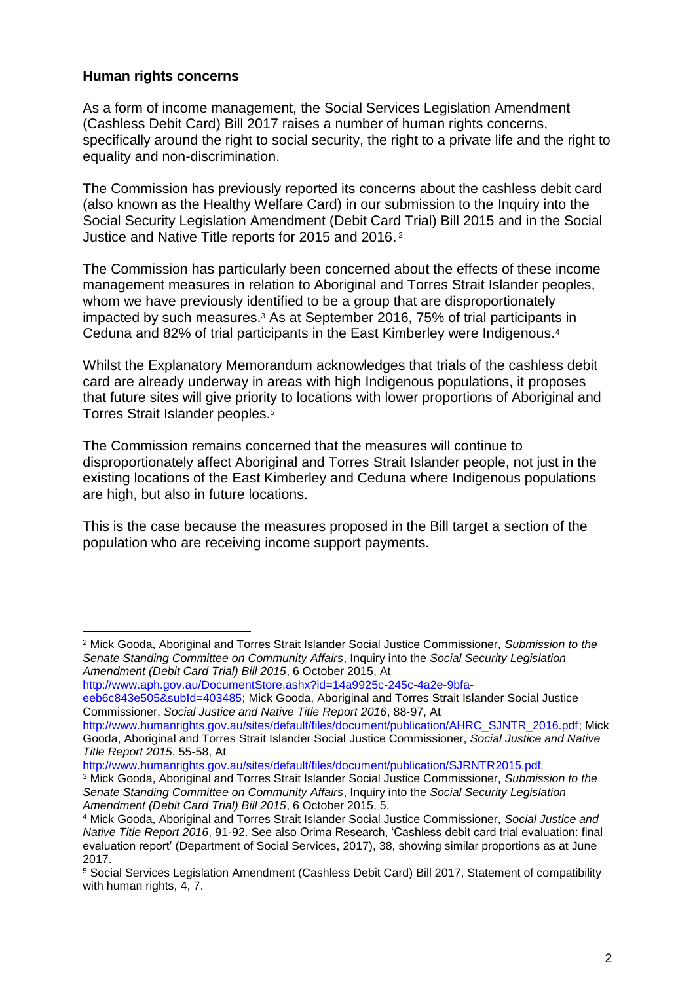## **Human rights concerns**

 $\overline{a}$ 

As a form of income management, the Social Services Legislation Amendment (Cashless Debit Card) Bill 2017 raises a number of human rights concerns, specifically around the right to social security, the right to a private life and the right to equality and non-discrimination.

The Commission has previously reported its concerns about the cashless debit card (also known as the Healthy Welfare Card) in our submission to the Inquiry into the Social Security Legislation Amendment (Debit Card Trial) Bill 2015 and in the Social Justice and Native Title reports for 2015 and 2016. 2

The Commission has particularly been concerned about the effects of these income management measures in relation to Aboriginal and Torres Strait Islander peoples, whom we have previously identified to be a group that are disproportionately impacted by such measures.<sup>3</sup> As at September 2016, 75% of trial participants in Ceduna and 82% of trial participants in the East Kimberley were Indigenous.<sup>4</sup>

Whilst the Explanatory Memorandum acknowledges that trials of the cashless debit card are already underway in areas with high Indigenous populations, it proposes that future sites will give priority to locations with lower proportions of Aboriginal and Torres Strait Islander peoples.<sup>5</sup>

The Commission remains concerned that the measures will continue to disproportionately affect Aboriginal and Torres Strait Islander people, not just in the existing locations of the East Kimberley and Ceduna where Indigenous populations are high, but also in future locations.

This is the case because the measures proposed in the Bill target a section of the population who are receiving income support payments.

```
http://www.aph.gov.au/DocumentStore.ashx?id=14a9925c-245c-4a2e-9bfa-
```
[eeb6c843e505&subId=403485;](http://www.aph.gov.au/DocumentStore.ashx?id=14a9925c-245c-4a2e-9bfa-eeb6c843e505&subId=403485) Mick Gooda, Aboriginal and Torres Strait Islander Social Justice Commissioner, *Social Justice and Native Title Report 2016*, 88-97, At

<http://www.humanrights.gov.au/sites/default/files/document/publication/SJRNTR2015.pdf>*.*

<sup>2</sup> Mick Gooda, Aboriginal and Torres Strait Islander Social Justice Commissioner, *Submission to the Senate Standing Committee on Community Affairs*, Inquiry into the *Social Security Legislation Amendment (Debit Card Trial) Bill 2015*, 6 October 2015, At

[http://www.humanrights.gov.au/sites/default/files/document/publication/AHRC\\_SJNTR\\_2016.pdf;](http://www.humanrights.gov.au/sites/default/files/document/publication/AHRC_SJNTR_2016.pdf) Mick Gooda, Aboriginal and Torres Strait Islander Social Justice Commissioner, *Social Justice and Native Title Report 2015*, 55-58, At

<sup>3</sup> Mick Gooda, Aboriginal and Torres Strait Islander Social Justice Commissioner, *Submission to the Senate Standing Committee on Community Affairs*, Inquiry into the *Social Security Legislation Amendment (Debit Card Trial) Bill 2015*, 6 October 2015, 5.

<sup>4</sup> Mick Gooda, Aboriginal and Torres Strait Islander Social Justice Commissioner, *Social Justice and Native Title Report 2016*, 91-92. See also Orima Research, 'Cashless debit card trial evaluation: final evaluation report' (Department of Social Services, 2017), 38, showing similar proportions as at June 2017.

<sup>5</sup> Social Services Legislation Amendment (Cashless Debit Card) Bill 2017, Statement of compatibility with human rights, 4, 7.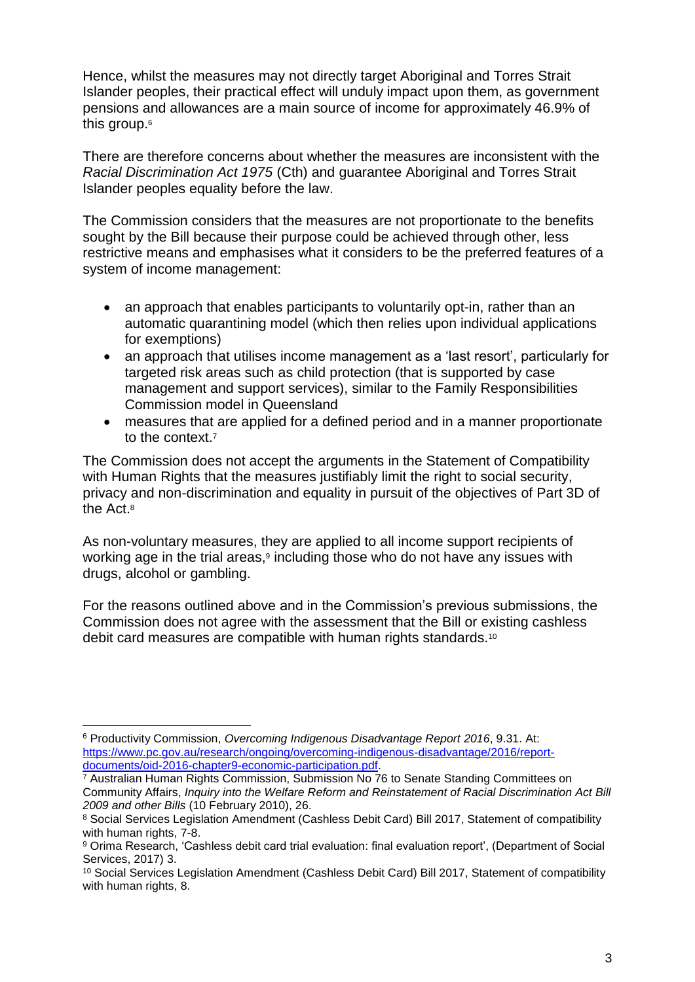Hence, whilst the measures may not directly target Aboriginal and Torres Strait Islander peoples, their practical effect will unduly impact upon them, as government pensions and allowances are a main source of income for approximately 46.9% of this group.<sup>6</sup>

There are therefore concerns about whether the measures are inconsistent with the *Racial Discrimination Act 1975* (Cth) and guarantee Aboriginal and Torres Strait Islander peoples equality before the law.

The Commission considers that the measures are not proportionate to the benefits sought by the Bill because their purpose could be achieved through other, less restrictive means and emphasises what it considers to be the preferred features of a system of income management:

- an approach that enables participants to voluntarily opt-in, rather than an automatic quarantining model (which then relies upon individual applications for exemptions)
- an approach that utilises income management as a 'last resort', particularly for targeted risk areas such as child protection (that is supported by case management and support services), similar to the Family Responsibilities Commission model in Queensland
- measures that are applied for a defined period and in a manner proportionate to the context.<sup>7</sup>

The Commission does not accept the arguments in the Statement of Compatibility with Human Rights that the measures justifiably limit the right to social security, privacy and non-discrimination and equality in pursuit of the objectives of Part 3D of the Act. 8

As non-voluntary measures, they are applied to all income support recipients of working age in the trial areas,<sup>9</sup> including those who do not have any issues with drugs, alcohol or gambling.

For the reasons outlined above and in the Commission's previous submissions, the Commission does not agree with the assessment that the Bill or existing cashless debit card measures are compatible with human rights standards.<sup>10</sup>

 $\overline{a}$ <sup>6</sup> Productivity Commission, *Overcoming Indigenous Disadvantage Report 2016*, 9.31. At: [https://www.pc.gov.au/research/ongoing/overcoming-indigenous-disadvantage/2016/report](https://www.pc.gov.au/research/ongoing/overcoming-indigenous-disadvantage/2016/report-documents/oid-2016-chapter9-economic-participation.pdf)[documents/oid-2016-chapter9-economic-participation.pdf.](https://www.pc.gov.au/research/ongoing/overcoming-indigenous-disadvantage/2016/report-documents/oid-2016-chapter9-economic-participation.pdf)

<sup>&</sup>lt;sup>7</sup> Australian Human Rights Commission, Submission No 76 to Senate Standing Committees on Community Affairs, *Inquiry into the Welfare Reform and Reinstatement of Racial Discrimination Act Bill 2009 and other Bills* (10 February 2010), 26.

<sup>8</sup> Social Services Legislation Amendment (Cashless Debit Card) Bill 2017, Statement of compatibility with human rights, 7-8.

<sup>9</sup> Orima Research, 'Cashless debit card trial evaluation: final evaluation report', (Department of Social Services, 2017) 3.

<sup>&</sup>lt;sup>10</sup> Social Services Legislation Amendment (Cashless Debit Card) Bill 2017, Statement of compatibility with human rights, 8.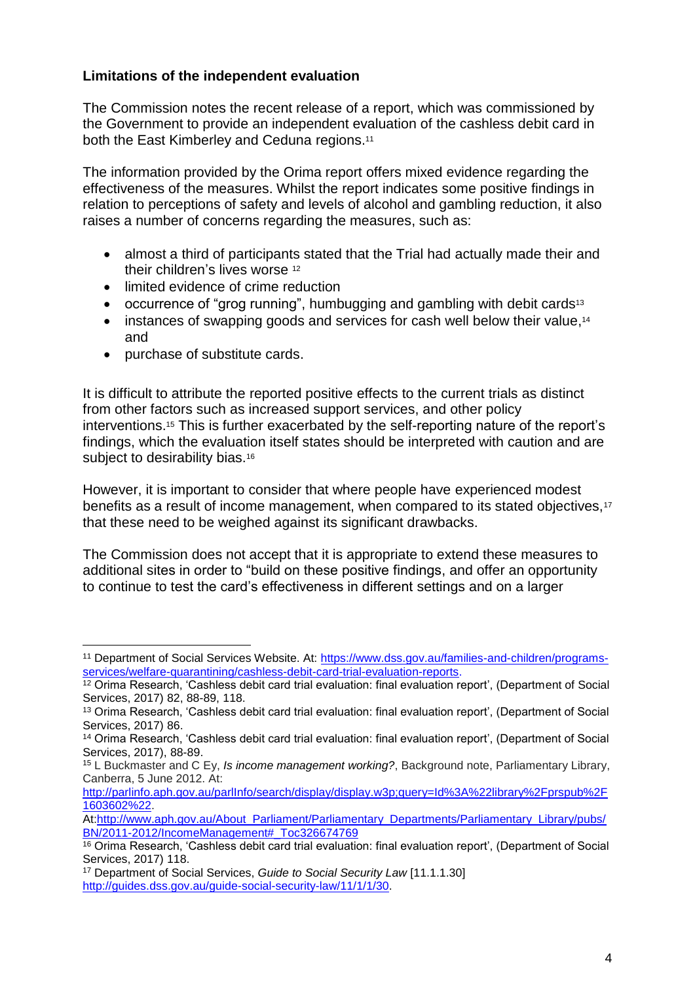# **Limitations of the independent evaluation**

The Commission notes the recent release of a report, which was commissioned by the Government to provide an independent evaluation of the cashless debit card in both the East Kimberley and Ceduna regions.<sup>11</sup>

The information provided by the Orima report offers mixed evidence regarding the effectiveness of the measures. Whilst the report indicates some positive findings in relation to perceptions of safety and levels of alcohol and gambling reduction, it also raises a number of concerns regarding the measures, such as:

- almost a third of participants stated that the Trial had actually made their and their children's lives worse <sup>12</sup>
- limited evidence of crime reduction
- occurrence of "grog running", humbugging and gambling with debit cards<sup>13</sup>
- instances of swapping goods and services for cash well below their value,<sup>14</sup> and
- purchase of substitute cards.

 $\overline{a}$ 

It is difficult to attribute the reported positive effects to the current trials as distinct from other factors such as increased support services, and other policy interventions. <sup>15</sup> This is further exacerbated by the self-reporting nature of the report's findings, which the evaluation itself states should be interpreted with caution and are subject to desirability bias.<sup>16</sup>

However, it is important to consider that where people have experienced modest benefits as a result of income management, when compared to its stated objectives.<sup>17</sup> that these need to be weighed against its significant drawbacks.

The Commission does not accept that it is appropriate to extend these measures to additional sites in order to "build on these positive findings, and offer an opportunity to continue to test the card's effectiveness in different settings and on a larger

<sup>11</sup> Department of Social Services Website. At: [https://www.dss.gov.au/families-and-children/programs](https://www.dss.gov.au/families-and-children/programs-services/welfare-quarantining/cashless-debit-card-trial-evaluation-reports)[services/welfare-quarantining/cashless-debit-card-trial-evaluation-reports.](https://www.dss.gov.au/families-and-children/programs-services/welfare-quarantining/cashless-debit-card-trial-evaluation-reports)

<sup>&</sup>lt;sup>12</sup> Orima Research, 'Cashless debit card trial evaluation: final evaluation report', (Department of Social Services, 2017) 82, 88-89, 118.

<sup>13</sup> Orima Research, 'Cashless debit card trial evaluation: final evaluation report', (Department of Social Services, 2017) 86.

<sup>14</sup> Orima Research, 'Cashless debit card trial evaluation: final evaluation report', (Department of Social Services, 2017), 88-89.

<sup>15</sup> L Buckmaster and C Ey, *Is income management working?*, Background note, Parliamentary Library, Canberra, 5 June 2012. At:

[http://parlinfo.aph.gov.au/parlInfo/search/display/display.w3p;query=Id%3A%22library%2Fprspub%2F](http://parlinfo.aph.gov.au/parlInfo/search/display/display.w3p;query=Id%3A%22library%2Fprspub%2F1603602%22) [1603602%22.](http://parlinfo.aph.gov.au/parlInfo/search/display/display.w3p;query=Id%3A%22library%2Fprspub%2F1603602%22)

At[:http://www.aph.gov.au/About\\_Parliament/Parliamentary\\_Departments/Parliamentary\\_Library/pubs/](http://www.aph.gov.au/About_Parliament/Parliamentary_Departments/Parliamentary_Library/pubs/BN/2011-2012/IncomeManagement#_Toc326674769) [BN/2011-2012/IncomeManagement#\\_Toc326674769](http://www.aph.gov.au/About_Parliament/Parliamentary_Departments/Parliamentary_Library/pubs/BN/2011-2012/IncomeManagement#_Toc326674769)

<sup>&</sup>lt;sup>16</sup> Orima Research, 'Cashless debit card trial evaluation: final evaluation report', (Department of Social Services, 2017) 118.

<sup>17</sup> Department of Social Services, *Guide to Social Security Law* [11.1.1.30] [http://guides.dss.gov.au/guide-social-security-law/11/1/1/30.](http://guides.dss.gov.au/guide-social-security-law/11/1/1/30)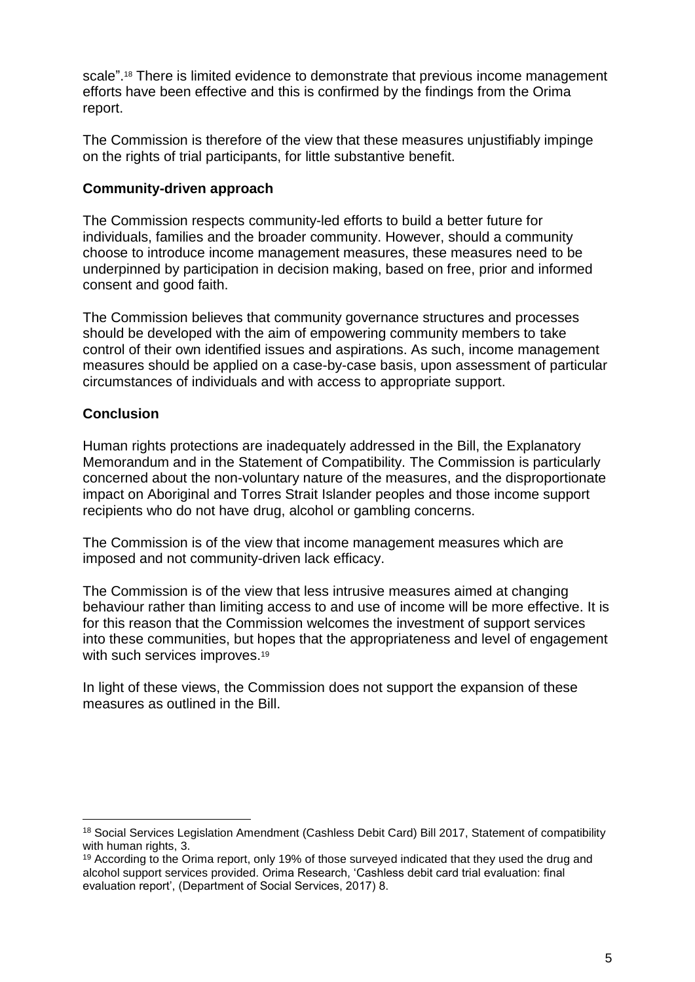scale". <sup>18</sup> There is limited evidence to demonstrate that previous income management efforts have been effective and this is confirmed by the findings from the Orima report.

The Commission is therefore of the view that these measures unjustifiably impinge on the rights of trial participants, for little substantive benefit.

# **Community-driven approach**

The Commission respects community-led efforts to build a better future for individuals, families and the broader community. However, should a community choose to introduce income management measures, these measures need to be underpinned by participation in decision making, based on free, prior and informed consent and good faith.

The Commission believes that community governance structures and processes should be developed with the aim of empowering community members to take control of their own identified issues and aspirations. As such, income management measures should be applied on a case-by-case basis, upon assessment of particular circumstances of individuals and with access to appropriate support.

# **Conclusion**

 $\overline{a}$ 

Human rights protections are inadequately addressed in the Bill, the Explanatory Memorandum and in the Statement of Compatibility. The Commission is particularly concerned about the non-voluntary nature of the measures, and the disproportionate impact on Aboriginal and Torres Strait Islander peoples and those income support recipients who do not have drug, alcohol or gambling concerns.

The Commission is of the view that income management measures which are imposed and not community-driven lack efficacy.

The Commission is of the view that less intrusive measures aimed at changing behaviour rather than limiting access to and use of income will be more effective. It is for this reason that the Commission welcomes the investment of support services into these communities, but hopes that the appropriateness and level of engagement with such services improves.<sup>19</sup>

In light of these views, the Commission does not support the expansion of these measures as outlined in the Bill.

<sup>18</sup> Social Services Legislation Amendment (Cashless Debit Card) Bill 2017, Statement of compatibility with human rights, 3.

<sup>&</sup>lt;sup>19</sup> According to the Orima report, only 19% of those surveyed indicated that they used the drug and alcohol support services provided. Orima Research, 'Cashless debit card trial evaluation: final evaluation report', (Department of Social Services, 2017) 8.